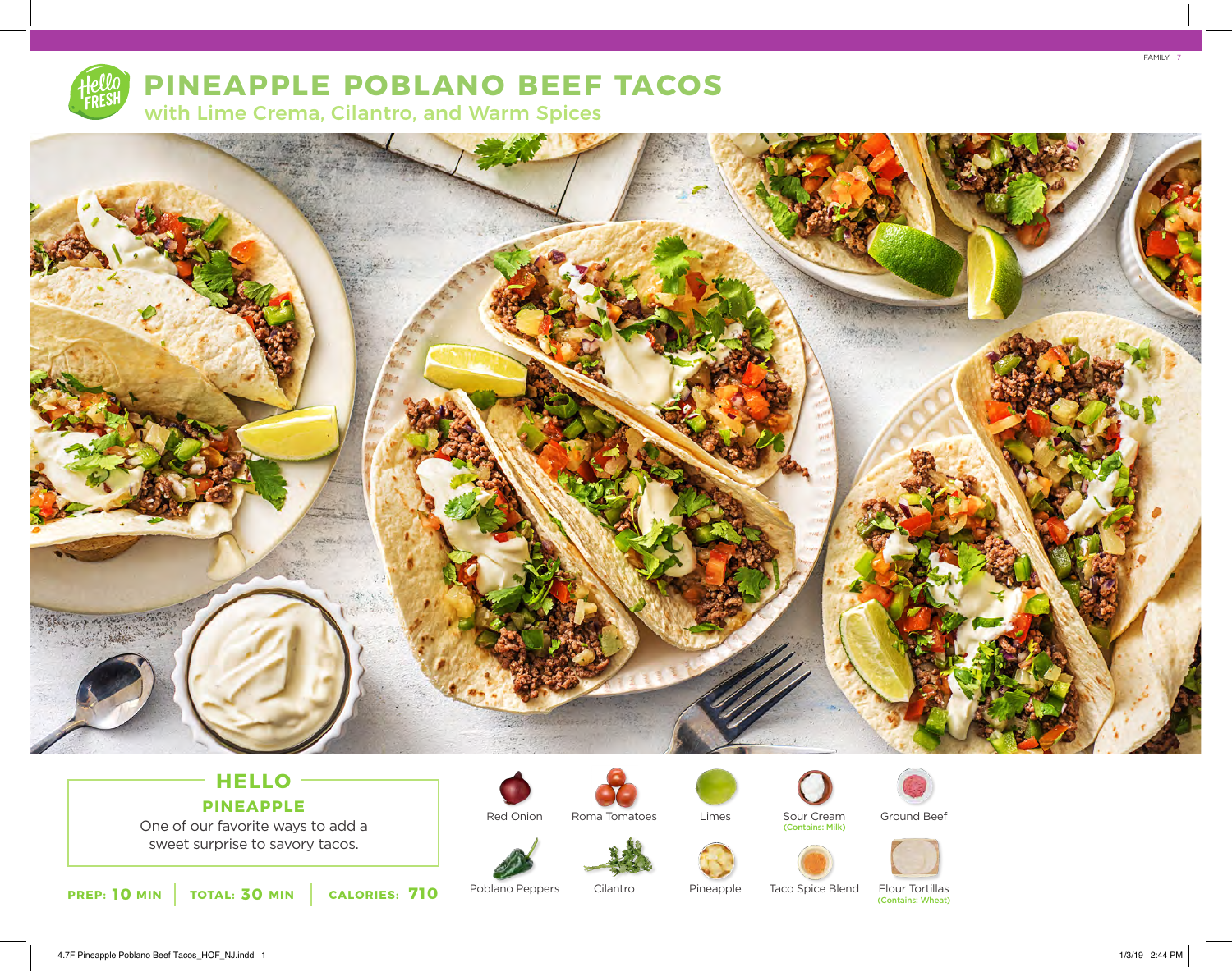

# **PINEAPPLE POBLANO BEEF TACOS**

with Lime Crema, Cilantro, and Warm Spices



## **HELLO PINEAPPLE**

One of our favorite ways to add a sweet surprise to savory tacos.



Poblano Peppers

Red Onion



Cilantro



Limes



Pineapple



Sour Cream (Contains: Milk)

Taco Spice Blend



Flour Tortillas (Contains: Wheat)



FAMILY 7